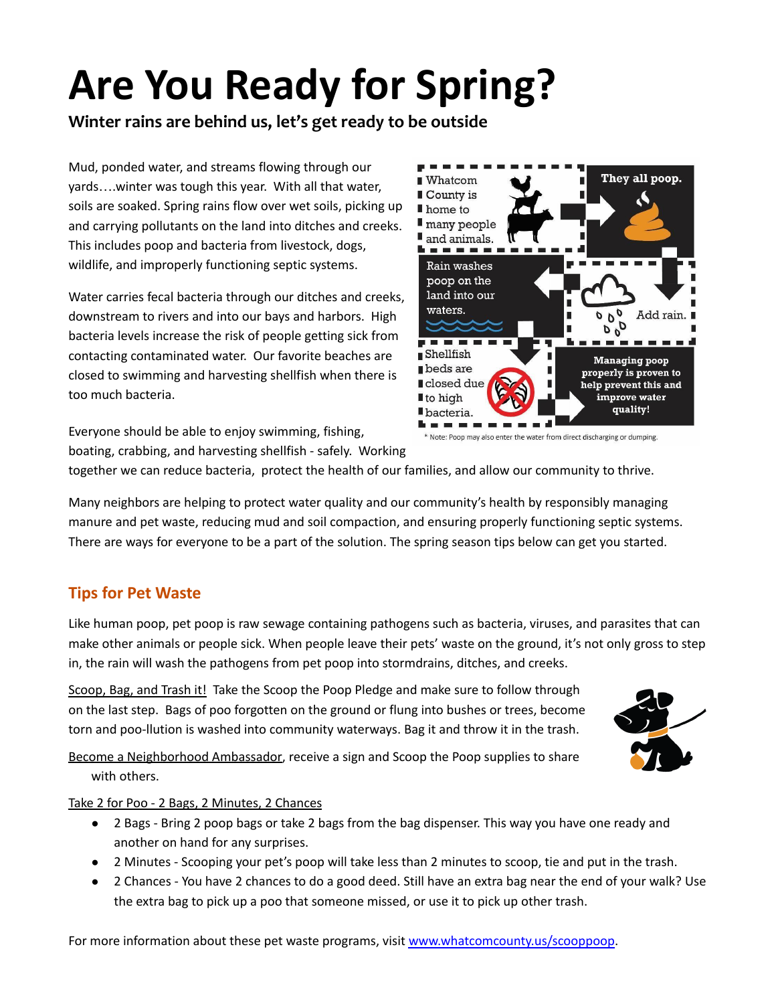# **Are You Ready for Spring?**

**Winter rains are behind us, let's get ready to be outside**

Mud, ponded water, and streams flowing through our yards….winter was tough this year. With all that water, soils are soaked. Spring rains flow over wet soils, picking up and carrying pollutants on the land into ditches and creeks. This includes poop and bacteria from livestock, dogs, wildlife, and improperly functioning septic systems.

Water carries fecal bacteria through our ditches and creeks, downstream to rivers and into our bays and harbors. High bacteria levels increase the risk of people getting sick from contacting contaminated water. Our favorite beaches are closed to swimming and harvesting shellfish when there is too much bacteria.

Everyone should be able to enjoy swimming, fishing, boating, crabbing, and harvesting shellfish - safely. Working

together we can reduce bacteria, protect the health of our families, and allow our community to thrive.

Many neighbors are helping to protect water quality and our community's health by responsibly managing manure and pet waste, reducing mud and soil compaction, and ensuring properly functioning septic systems. There are ways for everyone to be a part of the solution. The spring season tips below can get you started.

## **Tips for Pet Waste**

Like human poop, pet poop is raw sewage containing pathogens such as bacteria, viruses, and parasites that can make other animals or people sick. When people leave their pets' waste on the ground, it's not only gross to step in, the rain will wash the pathogens from pet poop into stormdrains, ditches, and creeks.

Scoop, Bag, and Trash it! Take the Scoop the Poop Pledge and make sure to follow through on the last step. Bags of poo forgotten on the ground or flung into bushes or trees, become torn and poo-llution is washed into community waterways. Bag it and throw it in the trash.

Become a Neighborhood Ambassador, receive a sign and Scoop the Poop supplies to share with others.



- 2 Bags Bring 2 poop bags or take 2 bags from the bag dispenser. This way you have one ready and another on hand for any surprises.
- 2 Minutes Scooping your pet's poop will take less than 2 minutes to scoop, tie and put in the trash.
- 2 Chances You have 2 chances to do a good deed. Still have an extra bag near the end of your walk? Use the extra bag to pick up a poo that someone missed, or use it to pick up other trash.

For more information about these pet waste programs, visit [www.whatcomcounty.us/scooppoop](http://www.whatcomcounty.us/scooppoop).



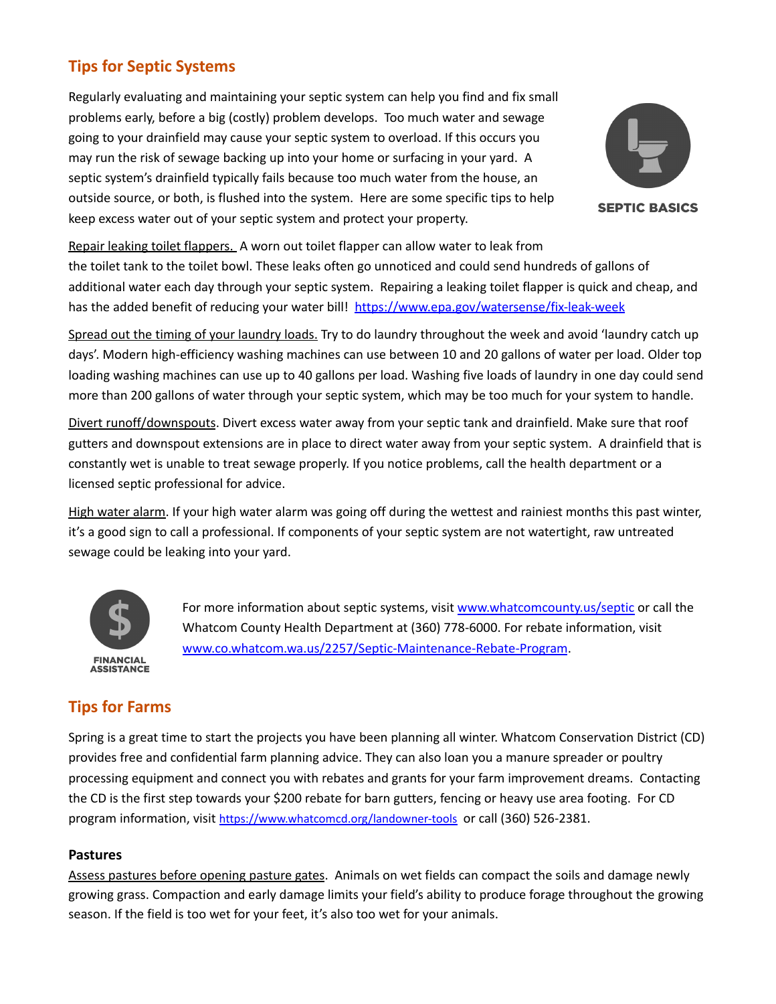# **Tips for Septic Systems**

Regularly evaluating and maintaining your septic system can help you find and fix small problems early, before a big (costly) problem develops. Too much water and sewage going to your drainfield may cause your septic system to overload. If this occurs you may run the risk of sewage backing up into your home or surfacing in your yard. A septic system's drainfield typically fails because too much water from the house, an outside source, or both, is flushed into the system. Here are some specific tips to help keep excess water out of your septic system and protect your property.



**SEPTIC BASICS** 

Repair leaking toilet flappers. A worn out toilet flapper can allow water to leak from the toilet tank to the toilet bowl. These leaks often go unnoticed and could send hundreds of gallons of additional water each day through your septic system. Repairing a leaking toilet flapper is quick and cheap, and has the added benefit of reducing your water bill! <https://www.epa.gov/watersense/fix-leak-week>

Spread out the timing of your laundry loads. Try to do laundry throughout the week and avoid 'laundry catch up days'. Modern high-efficiency washing machines can use between 10 and 20 gallons of water per load. Older top loading washing machines can use up to 40 gallons per load. Washing five loads of laundry in one day could send more than 200 gallons of water through your septic system, which may be too much for your system to handle.

Divert runoff/downspouts. Divert excess water away from your septic tank and drainfield. Make sure that roof gutters and downspout extensions are in place to direct water away from your septic system. A drainfield that is constantly wet is unable to treat sewage properly. If you notice problems, call the health department or a licensed septic professional for advice.

High water alarm. If your high water alarm was going off during the wettest and rainiest months this past winter, it's a good sign to call a professional. If components of your septic system are not watertight, raw untreated sewage could be leaking into your yard.



For more information about septic systems, visit [www.whatcomcounty.us/septic](http://www.whatcomcounty.us/septic) or call the Whatcom County Health Department at (360) 778-6000. For rebate information, visit [www.co.whatcom.wa.us/2257/Septic-Maintenance-Rebate-Program](http://www.co.whatcom.wa.us/2257/Septic-Maintenance-Rebate-Program).

# **Tips for Farms**

Spring is a great time to start the projects you have been planning all winter. Whatcom Conservation District (CD) provides free and confidential farm planning advice. They can also loan you a manure spreader or poultry processing equipment and connect you with rebates and grants for your farm improvement dreams. Contacting the CD is the first step towards your \$200 rebate for barn gutters, fencing or heavy use area footing. For CD program information, visit <https://www.whatcomcd.org/landowner-tools> or call (360) 526-2381.

#### **Pastures**

Assess pastures before opening pasture gates. Animals on wet fields can compact the soils and damage newly growing grass. Compaction and early damage limits your field's ability to produce forage throughout the growing season. If the field is too wet for your feet, it's also too wet for your animals.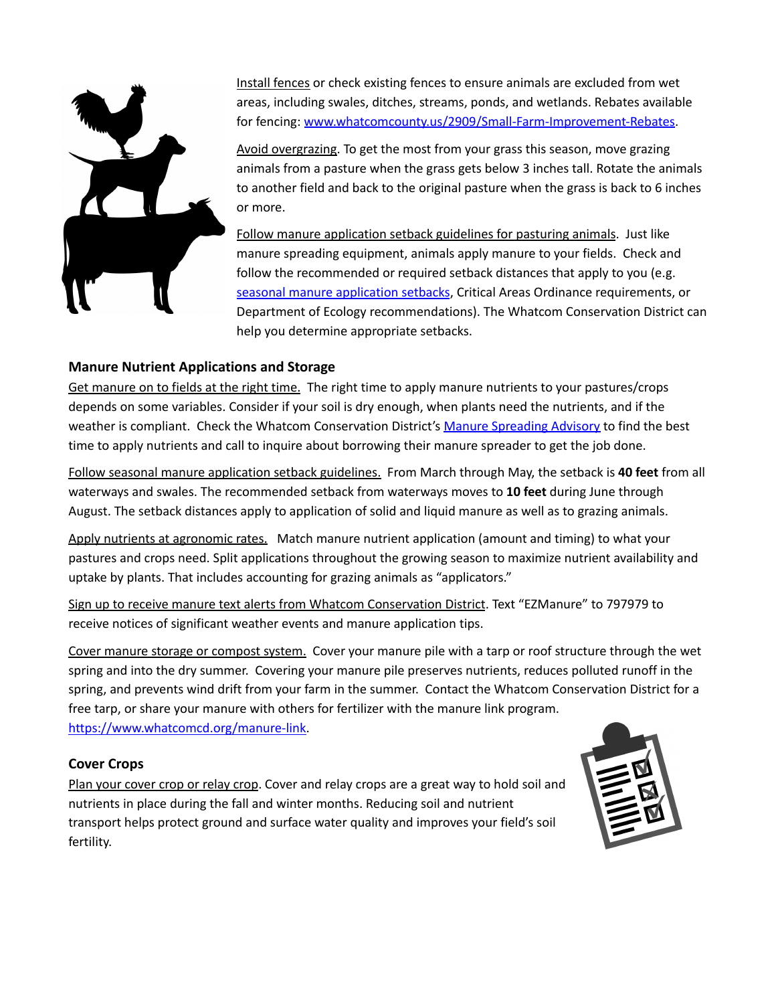

Install fences or check existing fences to ensure animals are excluded from wet areas, including swales, ditches, streams, ponds, and wetlands. Rebates available for fencing: [www.whatcomcounty.us/2909/Small-Farm-Improvement-Rebates.](http://www.whatcomcounty.us/2909/Small-Farm-Improvement-Rebates)

Avoid overgrazing. To get the most from your grass this season, move grazing animals from a pasture when the grass gets below 3 inches tall. Rotate the animals to another field and back to the original pasture when the grass is back to 6 inches or more.

Follow manure application setback guidelines for pasturing animals. Just like manure spreading equipment, animals apply manure to your fields. Check and follow the recommended or required setback distances that apply to you (e.g. seasonal manure [application](https://www.whatcomcd.org/manure-application-setback) setbacks, Critical Areas Ordinance requirements, or Department of Ecology recommendations). The Whatcom Conservation District can help you determine appropriate setbacks.

#### **Manure Nutrient Applications and Storage**

Get manure on to fields at the right time. The right time to apply manure nutrients to your pastures/crops depends on some variables. Consider if your soil is dry enough, when plants need the nutrients, and if the weather is compliant. Check the Whatcom Conservation District's Manure [Spreading](https://whatcomcd.org/msa) Advisory to find the best time to apply nutrients and call to inquire about borrowing their manure spreader to get the job done.

Follow seasonal manure application setback guidelines. From March through May, the setback is **40 feet** from all waterways and swales. The recommended setback from waterways moves to **10 feet** during June through August. The setback distances apply to application of solid and liquid manure as well as to grazing animals.

Apply nutrients at agronomic rates. Match manure nutrient application (amount and timing) to what your pastures and crops need. Split applications throughout the growing season to maximize nutrient availability and uptake by plants. That includes accounting for grazing animals as "applicators."

Sign up to receive manure text alerts from Whatcom Conservation District. Text "EZManure" to 797979 to receive notices of significant weather events and manure application tips.

Cover manure storage or compost system. Cover your manure pile with a tarp or roof structure through the wet spring and into the dry summer. Covering your manure pile preserves nutrients, reduces polluted runoff in the spring, and prevents wind drift from your farm in the summer. Contact the Whatcom Conservation District for a free tarp, or share your manure with others for fertilizer with the manure link program.

[https://www.whatcomcd.org/manure-link.](https://www.whatcomcd.org/manure-link)

#### **Cover Crops**

Plan your cover crop or relay crop. Cover and relay crops are a great way to hold soil and nutrients in place during the fall and winter months. Reducing soil and nutrient transport helps protect ground and surface water quality and improves your field's soil fertility.